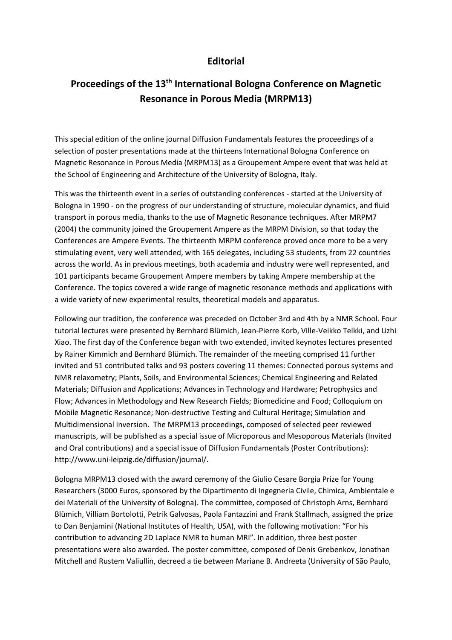## **Editorial**

## **Proceedings of the 13th International Bologna Conference on Magnetic Resonance in Porous Media (MRPM13)**

This special edition of the online journal Diffusion Fundamentals features the proceedings of a selection of poster presentations made at the thirteens International Bologna Conference on Magnetic Resonance in Porous Media (MRPM13) as a Groupement Ampere event that was held at the School of Engineering and Architecture of the University of Bologna, Italy.

This was the thirteenth event in a series of outstanding conferences - started at the University of Bologna in 1990 - on the progress of our understanding of structure, molecular dynamics, and fluid transport in porous media, thanks to the use of Magnetic Resonance techniques. After MRPM7 (2004) the community joined the Groupement Ampere as the MRPM Division, so that today the Conferences are Ampere Events. The thirteenth MRPM conference proved once more to be a very stimulating event, very well attended, with 165 delegates, including 53 students, from 22 countries across the world. As in previous meetings, both academia and industry were well represented, and 101 participants became Groupement Ampere members by taking Ampere membership at the Conference. The topics covered a wide range of magnetic resonance methods and applications with a wide variety of new experimental results, theoretical models and apparatus.

Following our tradition, the conference was preceded on October 3rd and 4th by a NMR School. Four tutorial lectures were presented by Bernhard Blümich, Jean-Pierre Korb, Ville-Veikko Telkki, and Lizhi Xiao. The first day of the Conference began with two extended, invited keynotes lectures presented by Rainer Kimmich and Bernhard Blümich. The remainder of the meeting comprised 11 further invited and 51 contributed talks and 93 posters covering 11 themes: Connected porous systems and NMR relaxometry; Plants, Soils, and Environmental Sciences; Chemical Engineering and Related Materials; Diffusion and Applications; Advances in Technology and Hardware; Petrophysics and Flow; Advances in Methodology and New Research Fields; Biomedicine and Food; Colloquium on Mobile Magnetic Resonance; Non-destructive Testing and Cultural Heritage; Simulation and Multidimensional Inversion. The MRPM13 proceedings, composed of selected peer reviewed manuscripts, will be published as a special issue of Microporous and Mesoporous Materials (Invited and Oral contributions) and a special issue of Diffusion Fundamentals (Poster Contributions): http://www.uni-leipzig.de/diffusion/journal/.

Bologna MRPM13 closed with the award ceremony of the Giulio Cesare Borgia Prize for Young Researchers (3000 Euros, sponsored by the Dipartimento di Ingegneria Civile, Chimica, Ambientale e dei Materiali of the University of Bologna). The committee, composed of Christoph Arns, Bernhard Blümich, Villiam Bortolotti, Petrik Galvosas, Paola Fantazzini and Frank Stallmach, assigned the prize to Dan Benjamini (National Institutes of Health, USA), with the following motivation: "For his contribution to advancing 2D Laplace NMR to human MRI". In addition, three best poster presentations were also awarded. The poster committee, composed of Denis Grebenkov, Jonathan Mitchell and Rustem Valiullin, decreed a tie between Mariane B. Andreeta (University of São Paulo,